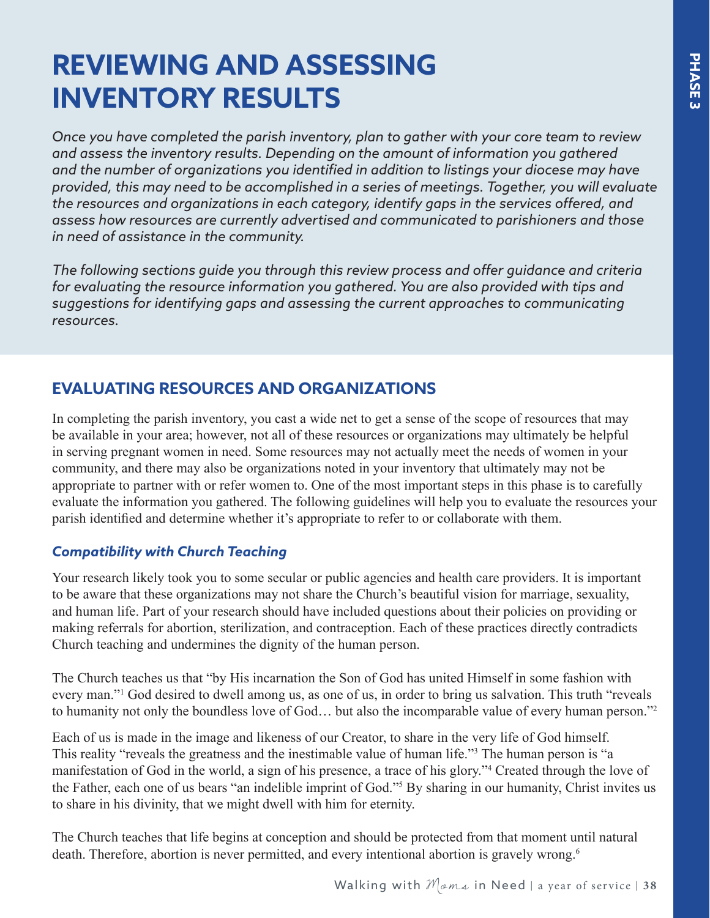# <span id="page-0-0"></span>**REVIEWING AND ASSESSING INVENTORY RESULTS**

*Once you have completed the parish inventory, plan to gather with your core team to review and assess the inventory results. Depending on the amount of information you gathered and the number of organizations you identified in addition to listings your diocese may have provided, this may need to be accomplished in a series of meetings. Together, you will evaluate the resources and organizations in each category, identify gaps in the services offered, and assess how resources are currently advertised and communicated to parishioners and those in need of assistance in the community.*

*The following sections guide you through this review process and offer guidance and criteria for evaluating the resource information you gathered. You are also provided with tips and suggestions for identifying gaps and assessing the current approaches to communicating resources.*

## **EVALUATING RESOURCES AND ORGANIZATIONS**

In completing the parish inventory, you cast a wide net to get a sense of the scope of resources that may be available in your area; however, not all of these resources or organizations may ultimately be helpful in serving pregnant women in need. Some resources may not actually meet the needs of women in your community, and there may also be organizations noted in your inventory that ultimately may not be appropriate to partner with or refer women to. One of the most important steps in this phase is to carefully evaluate the information you gathered. The following guidelines will help you to evaluate the resources your parish identified and determine whether it's appropriate to refer to or collaborate with them.

### *Compatibility with Church Teaching*

Your research likely took you to some secular or public agencies and health care providers. It is important to be aware that these organizations may not share the Church's beautiful vision for marriage, sexuality, and human life. Part of your research should have included questions about their policies on providing or making referrals for abortion, sterilization, and contraception. Each of these practices directly contradicts Church teaching and undermines the dignity of the human person.

The Church teaches us that "by His incarnation the Son of God has united Himself in some fashion with every man."<sup>[1](#page-1-0)</sup> God desired to dwell among us, as one of us, in order to bring us salvation. This truth "reveals to humanity not only the boundless love of God… but also the incomparable value of every human person."[2](#page-1-0)

Each of us is made in the image and likeness of our Creator, to share in the very life of God himself. This reality "reveals the greatness and the inestimable value of human life."<sup>[3](#page-1-0)</sup> The human person is "a manifestation of God in the world, a sign of his presence, a trace of his glory."[4](#page-1-0) Created through the love of the Father, each one of us bears "an indelible imprint of God.["5](#page-1-0) By sharing in our humanity, Christ invites us to share in his divinity, that we might dwell with him for eternity.

The Church teaches that life begins at conception and should be protected from that moment until natural death. Therefore, abortion is never permitted, and every intentional abortion is gravely wrong.<sup>[6](#page-1-0)</sup>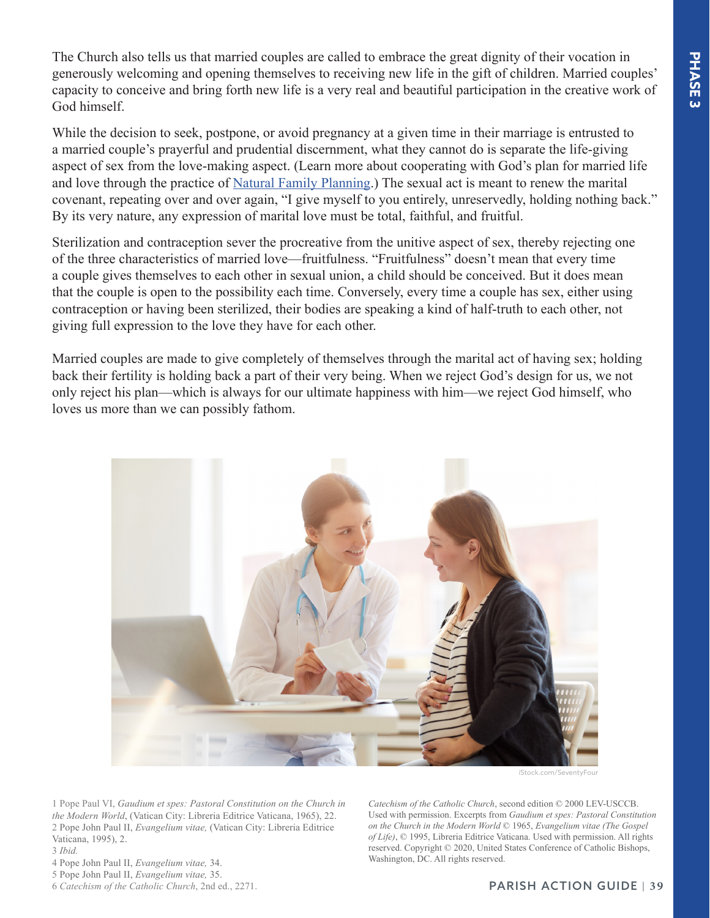<span id="page-1-0"></span>The Church also tells us that married couples are called to embrace the great dignity of their vocation in generously welcoming and opening themselves to receiving new life in the gift of children. Married couples' capacity to conceive and bring forth new life is a very real and beautiful participation in the creative work of God himself.

While the decision to seek, postpone, or avoid pregnancy at a given time in their marriage is entrusted to a married couple's prayerful and prudential discernment, what they cannot do is separate the life-giving aspect of sex from the love-making aspect. (Learn more about cooperating with God's plan for married life and love through the practice of [Natural Family Planning](http://www.usccb.org/issues-and-action/marriage-and-family/natural-family-planning/index.cfm).) The sexual act is meant to renew the marital covenant, repeating over and over again, "I give myself to you entirely, unreservedly, holding nothing back." By its very nature, any expression of marital love must be total, faithful, and fruitful.

Sterilization and contraception sever the procreative from the unitive aspect of sex, thereby rejecting one of the three characteristics of married love—fruitfulness. "Fruitfulness" doesn't mean that every time a couple gives themselves to each other in sexual union, a child should be conceived. But it does mean that the couple is open to the possibility each time. Conversely, every time a couple has sex, either using contraception or having been sterilized, their bodies are speaking a kind of half-truth to each other, not giving full expression to the love they have for each other.

Married couples are made to give completely of themselves through the marital act of having sex; holding back their fertility is holding back a part of their very being. When we reject God's design for us, we not only reject his plan—which is always for our ultimate happiness with him—we reject God himself, who loves us more than we can possibly fathom.



[1](#page-0-0) Pope Paul VI, *Gaudium et spes: Pastoral Constitution on the Church in the Modern World*, (Vatican City: Libreria Editrice Vaticana, 1965), 22. [2](#page-0-0) Pope John Paul II, *Evangelium vitae,* (Vatican City: Libreria Editrice Vaticana, 1995), 2.

[3](#page-0-0) *Ibid.*

[4](#page-0-0) Pope John Paul II, *Evangelium vitae,* 34.

[5](#page-0-0) Pope John Paul II, *Evangelium vitae,* 35.

[6](#page-0-0) *Catechism of the Catholic Church*, 2nd ed., 2271.

*Catechism of the Catholic Church*, second edition © 2000 LEV-USCCB. Used with permission. Excerpts from *Gaudium et spes: Pastoral Constitution on the Church in the Modern World* © 1965, *Evangelium vitae (The Gospel of Life)*, © 1995, Libreria Editrice Vaticana. Used with permission. All rights reserved. Copyright © 2020, United States Conference of Catholic Bishops, Washington, DC. All rights reserved.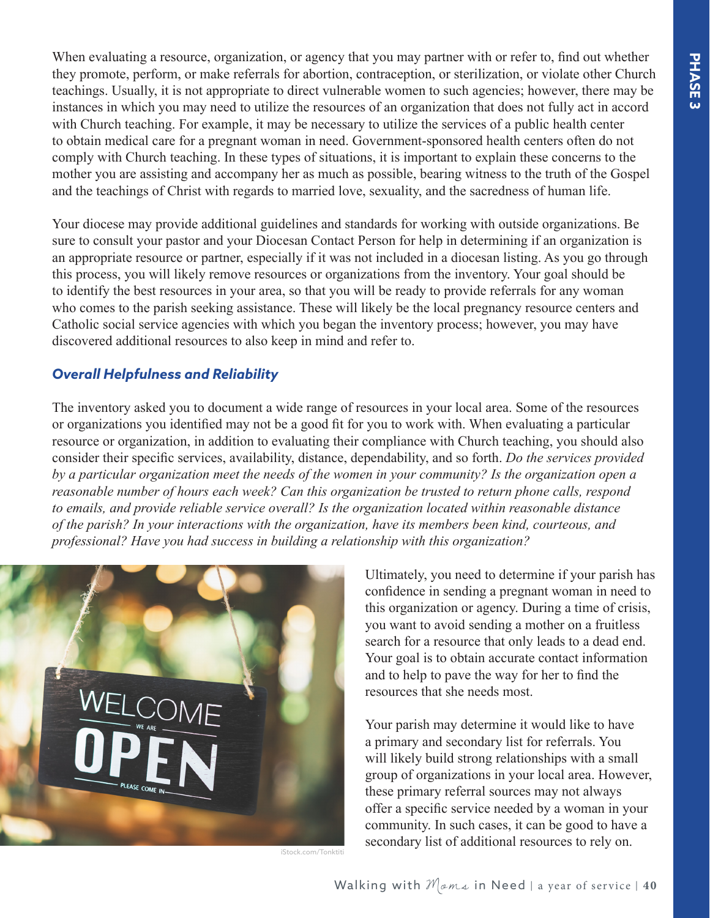PHASE<sub>3</sub> **PHASE 3**

When evaluating a resource, organization, or agency that you may partner with or refer to, find out whether they promote, perform, or make referrals for abortion, contraception, or sterilization, or violate other Church teachings. Usually, it is not appropriate to direct vulnerable women to such agencies; however, there may be instances in which you may need to utilize the resources of an organization that does not fully act in accord with Church teaching. For example, it may be necessary to utilize the services of a public health center to obtain medical care for a pregnant woman in need. Government-sponsored health centers often do not comply with Church teaching. In these types of situations, it is important to explain these concerns to the mother you are assisting and accompany her as much as possible, bearing witness to the truth of the Gospel and the teachings of Christ with regards to married love, sexuality, and the sacredness of human life.

Your diocese may provide additional guidelines and standards for working with outside organizations. Be sure to consult your pastor and your Diocesan Contact Person for help in determining if an organization is an appropriate resource or partner, especially if it was not included in a diocesan listing. As you go through this process, you will likely remove resources or organizations from the inventory. Your goal should be to identify the best resources in your area, so that you will be ready to provide referrals for any woman who comes to the parish seeking assistance. These will likely be the local pregnancy resource centers and Catholic social service agencies with which you began the inventory process; however, you may have discovered additional resources to also keep in mind and refer to.

#### *Overall Helpfulness and Reliability*

The inventory asked you to document a wide range of resources in your local area. Some of the resources or organizations you identified may not be a good fit for you to work with. When evaluating a particular resource or organization, in addition to evaluating their compliance with Church teaching, you should also consider their specific services, availability, distance, dependability, and so forth. *Do the services provided by a particular organization meet the needs of the women in your community? Is the organization open a reasonable number of hours each week? Can this organization be trusted to return phone calls, respond to emails, and provide reliable service overall? Is the organization located within reasonable distance of the parish? In your interactions with the organization, have its members been kind, courteous, and professional? Have you had success in building a relationship with this organization?*



iStock.com/Tonktiti

Ultimately, you need to determine if your parish has confidence in sending a pregnant woman in need to this organization or agency. During a time of crisis, you want to avoid sending a mother on a fruitless search for a resource that only leads to a dead end. Your goal is to obtain accurate contact information and to help to pave the way for her to find the resources that she needs most.

Your parish may determine it would like to have a primary and secondary list for referrals. You will likely build strong relationships with a small group of organizations in your local area. However, these primary referral sources may not always offer a specific service needed by a woman in your community. In such cases, it can be good to have a secondary list of additional resources to rely on.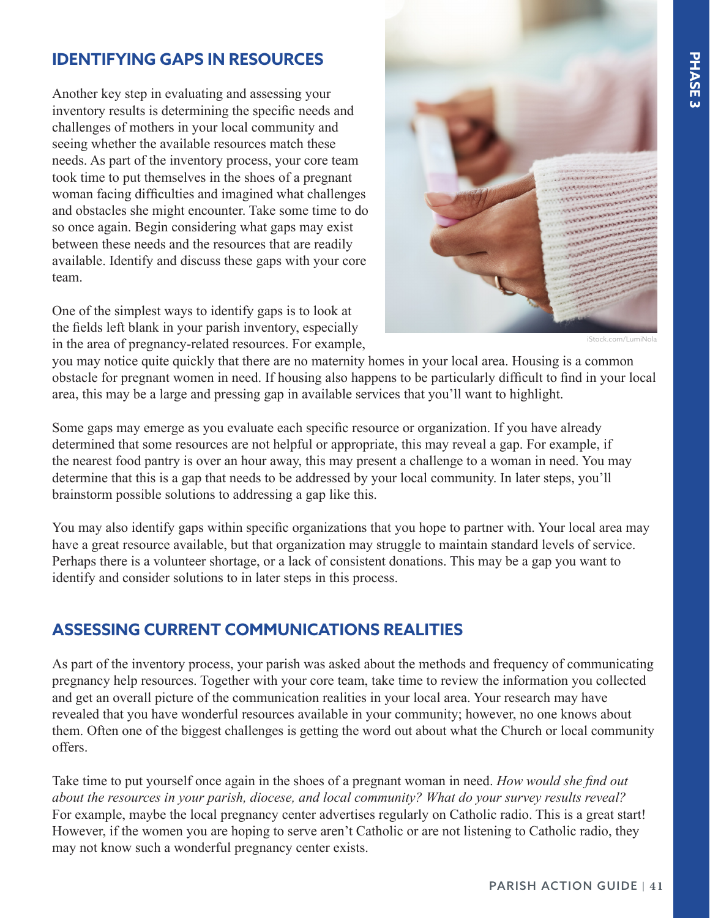## **IDENTIFYING GAPS IN RESOURCES**

Another key step in evaluating and assessing your inventory results is determining the specific needs and challenges of mothers in your local community and seeing whether the available resources match these needs. As part of the inventory process, your core team took time to put themselves in the shoes of a pregnant woman facing difficulties and imagined what challenges and obstacles she might encounter. Take some time to do so once again. Begin considering what gaps may exist between these needs and the resources that are readily available. Identify and discuss these gaps with your core team.

One of the simplest ways to identify gaps is to look at the fields left blank in your parish inventory, especially in the area of pregnancy-related resources. For example,



iStock.com/LumiNola

you may notice quite quickly that there are no maternity homes in your local area. Housing is a common obstacle for pregnant women in need. If housing also happens to be particularly difficult to find in your local area, this may be a large and pressing gap in available services that you'll want to highlight.

Some gaps may emerge as you evaluate each specific resource or organization. If you have already determined that some resources are not helpful or appropriate, this may reveal a gap. For example, if the nearest food pantry is over an hour away, this may present a challenge to a woman in need. You may determine that this is a gap that needs to be addressed by your local community. In later steps, you'll brainstorm possible solutions to addressing a gap like this.

You may also identify gaps within specific organizations that you hope to partner with. Your local area may have a great resource available, but that organization may struggle to maintain standard levels of service. Perhaps there is a volunteer shortage, or a lack of consistent donations. This may be a gap you want to identify and consider solutions to in later steps in this process.

#### **ASSESSING CURRENT COMMUNICATIONS REALITIES**

As part of the inventory process, your parish was asked about the methods and frequency of communicating pregnancy help resources. Together with your core team, take time to review the information you collected and get an overall picture of the communication realities in your local area. Your research may have revealed that you have wonderful resources available in your community; however, no one knows about them. Often one of the biggest challenges is getting the word out about what the Church or local community offers.

Take time to put yourself once again in the shoes of a pregnant woman in need. *How would she find out about the resources in your parish, diocese, and local community? What do your survey results reveal?* For example, maybe the local pregnancy center advertises regularly on Catholic radio. This is a great start! However, if the women you are hoping to serve aren't Catholic or are not listening to Catholic radio, they may not know such a wonderful pregnancy center exists.